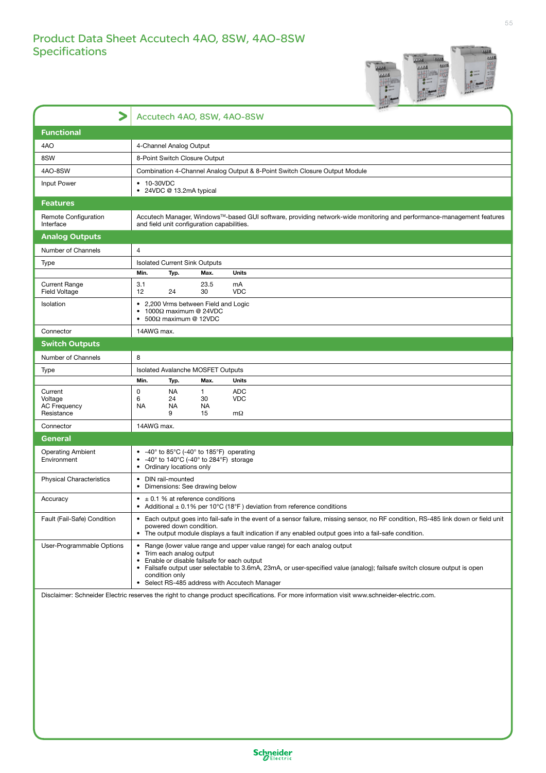

|                                                         | Accutech 4AO, 8SW, 4AO-8SW                                                                                                                                                                                                                                                                                                                                    |  |  |
|---------------------------------------------------------|---------------------------------------------------------------------------------------------------------------------------------------------------------------------------------------------------------------------------------------------------------------------------------------------------------------------------------------------------------------|--|--|
| <b>Functional</b>                                       |                                                                                                                                                                                                                                                                                                                                                               |  |  |
| 4AO                                                     | 4-Channel Analog Output                                                                                                                                                                                                                                                                                                                                       |  |  |
| 8SW                                                     | 8-Point Switch Closure Output                                                                                                                                                                                                                                                                                                                                 |  |  |
| 4AO-8SW                                                 | Combination 4-Channel Analog Output & 8-Point Switch Closure Output Module                                                                                                                                                                                                                                                                                    |  |  |
| Input Power                                             | • 10-30VDC<br>• 24VDC @ 13.2mA typical                                                                                                                                                                                                                                                                                                                        |  |  |
| <b>Features</b>                                         |                                                                                                                                                                                                                                                                                                                                                               |  |  |
| Remote Configuration<br>Interface                       | Accutech Manager, Windows™-based GUI software, providing network-wide monitoring and performance-management features<br>and field unit configuration capabilities.                                                                                                                                                                                            |  |  |
| <b>Analog Outputs</b>                                   |                                                                                                                                                                                                                                                                                                                                                               |  |  |
| Number of Channels                                      | $\overline{4}$                                                                                                                                                                                                                                                                                                                                                |  |  |
| <b>Type</b>                                             | <b>Isolated Current Sink Outputs</b>                                                                                                                                                                                                                                                                                                                          |  |  |
|                                                         | Max.<br><b>Units</b><br>Min.<br>Typ.                                                                                                                                                                                                                                                                                                                          |  |  |
| <b>Current Range</b><br>Field Voltage                   | 23.5<br>3.1<br>mA<br>12<br>24<br>30<br><b>VDC</b>                                                                                                                                                                                                                                                                                                             |  |  |
| Isolation                                               | • 2,200 Vrms between Field and Logic<br>1000Ω maximum @ 24VDC<br>$500\Omega$ maximum @ 12VDC<br>$\bullet$                                                                                                                                                                                                                                                     |  |  |
| Connector                                               | 14AWG max.                                                                                                                                                                                                                                                                                                                                                    |  |  |
| <b>Switch Outputs</b>                                   |                                                                                                                                                                                                                                                                                                                                                               |  |  |
| Number of Channels                                      | 8                                                                                                                                                                                                                                                                                                                                                             |  |  |
| Type                                                    | Isolated Avalanche MOSFET Outputs                                                                                                                                                                                                                                                                                                                             |  |  |
|                                                         | Min.<br>Typ.<br>Max.<br>Units                                                                                                                                                                                                                                                                                                                                 |  |  |
| Current<br>Voltage<br><b>AC Frequency</b><br>Resistance | 0<br><b>NA</b><br>$\mathbf{1}$<br><b>ADC</b><br>30<br><b>VDC</b><br>6<br>24<br><b>NA</b><br><b>NA</b><br>NA.<br>9<br>15<br>$m\Omega$                                                                                                                                                                                                                          |  |  |
| Connector                                               | 14AWG max.                                                                                                                                                                                                                                                                                                                                                    |  |  |
| General                                                 |                                                                                                                                                                                                                                                                                                                                                               |  |  |
| <b>Operating Ambient</b><br>Environment                 | • $-40^\circ$ to 85 $\degree$ C (-40 $\degree$ to 185 $\degree$ F) operating<br>• $-40^\circ$ to 140 $^{\circ}$ C (-40 $^{\circ}$ to 284 $^{\circ}$ F) storage<br>• Ordinary locations only                                                                                                                                                                   |  |  |
| <b>Physical Characteristics</b>                         | • DIN rail-mounted<br>• Dimensions: See drawing below                                                                                                                                                                                                                                                                                                         |  |  |
| Accuracy                                                | $\bullet$ ± 0.1 % at reference conditions<br>Additional $\pm$ 0.1% per 10°C (18°F) deviation from reference conditions                                                                                                                                                                                                                                        |  |  |
| Fault (Fail-Safe) Condition                             | Each output goes into fail-safe in the event of a sensor failure, missing sensor, no RF condition, RS-485 link down or field unit<br>$\bullet$<br>powered down condition.<br>The output module displays a fault indication if any enabled output goes into a fail-safe condition.                                                                             |  |  |
| User-Programmable Options                               | • Range (lower value range and upper value range) for each analog output<br>Trim each analog output<br>$\bullet$<br>Enable or disable failsafe for each output<br>Failsafe output user selectable to 3.6mA, 23mA, or user-specified value (analog); failsafe switch closure output is open<br>condition only<br>• Select RS-485 address with Accutech Manager |  |  |

Disclaimer: Schneider Electric reserves the right to change product specifications. For more information visit www.schneider-electric.com.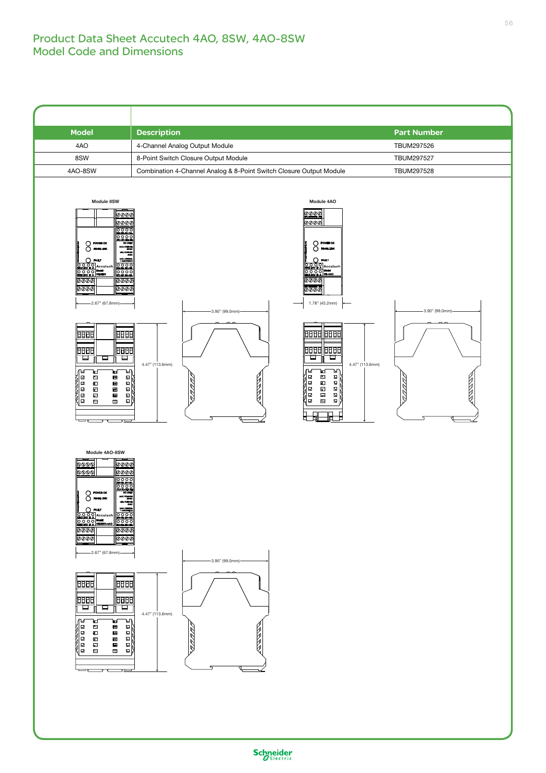## Product Data Sheet Accutech 4AO, 8SW, 4AO-8SW Model Code and Dimensions

| <b>Model</b>                                                                                                                                                                                                                                                                                                                                                                                                                                                                                                                                                                                                                                                                                                           | <b>Description</b>                                                                                                                                                                                                                                                                                                                                                                                                                                                                                                                                                   | <b>Part Number</b>              |
|------------------------------------------------------------------------------------------------------------------------------------------------------------------------------------------------------------------------------------------------------------------------------------------------------------------------------------------------------------------------------------------------------------------------------------------------------------------------------------------------------------------------------------------------------------------------------------------------------------------------------------------------------------------------------------------------------------------------|----------------------------------------------------------------------------------------------------------------------------------------------------------------------------------------------------------------------------------------------------------------------------------------------------------------------------------------------------------------------------------------------------------------------------------------------------------------------------------------------------------------------------------------------------------------------|---------------------------------|
| 4AO                                                                                                                                                                                                                                                                                                                                                                                                                                                                                                                                                                                                                                                                                                                    | 4-Channel Analog Output Module                                                                                                                                                                                                                                                                                                                                                                                                                                                                                                                                       | TBUM297526                      |
| 8SW                                                                                                                                                                                                                                                                                                                                                                                                                                                                                                                                                                                                                                                                                                                    | 8-Point Switch Closure Output Module                                                                                                                                                                                                                                                                                                                                                                                                                                                                                                                                 | TBUM297527                      |
| 4AO-8SW                                                                                                                                                                                                                                                                                                                                                                                                                                                                                                                                                                                                                                                                                                                | Combination 4-Channel Analog & 8-Point Switch Closure Output Module                                                                                                                                                                                                                                                                                                                                                                                                                                                                                                  | TBUM297528                      |
| Module 8SW<br><b>@@@@</b><br><u>@@@@</u><br>$\bigcirc$ POWER OK<br>$\bar{O}$ reasure<br>MIN YOUNGE<br>MAX.CUMBE<br>1 AMPSIMICS<br>$O$ FAULT<br><b>OOOO</b><br><b>GND2W B A</b><br>Q O O O Model<br>GND2W B A   WLSSW<br>00000<br><u>ooot</u><br>dooo<br>dooo<br>$\overline{\aa\aa\aa}$<br>-2.67" (67.8mm)-<br><b>BBBB</b><br>ⅢⅢ<br>阳明<br>明明<br>⊟<br>ㅁ<br>ㅁ<br>Ш<br>ъη<br>⊮<br>ᄇ<br>uri<br>$\Box$<br>$\blacksquare$<br>$\hbox{D}$<br>田<br>888888<br>8888<br>$\Xi$<br>$\blacksquare$<br>$\blacksquare$<br>$\blacksquare$<br>Œ<br>$\Box$<br>$\blacksquare$<br>$\blacksquare$<br>$\hfill \square$<br>$\blacksquare$<br>Ξ<br>Module 4AO-8SW<br>0000<br>0000<br> @@@@ <br>0000<br>$\bigcirc$ POWER OK<br>$\bar{O}$ revealing | Module 4AO<br><u>⊘⊘⊘⊘</u><br><u>⊘⊘⊘⊘</u><br>$\bigcirc$ POWER OK<br>$\bigcirc$ RS485 LINK<br>$O_{\text{rwtr}}$<br>0000 Accutech<br>00020 30 Accutech<br>00020 30 Mi-440<br>@@@@<br>0000<br>1.78" (45.2mm)<br>-3.90" (99.0mm)-<br><b>BBBB BBBB</b><br>8888 8888<br>ᄆ<br>ᄆ<br>4.47" (113.6mm)<br>4.47" (113.6mm)<br>ษา<br>ு<br>ਖ<br>⊡<br>■<br>$\mathbf{E}$<br>RARR<br>$\Box$<br>$\blacksquare$<br>$\boldsymbol{\Sigma}$<br>$\boxdot$<br>$\blacksquare$<br>모<br>¢.<br>$\boxdot$<br>$\blacksquare$<br>$\mathbf \Xi$<br>Ø.<br>$\boxdot$<br>巴<br>$\Box$<br>膩<br>Ħ<br>℡<br>ᇃ | -3.90" (99.0mm)-<br>N<br>Ŋ<br>Ŋ |
| MIN YOUNGE<br>MAX.CUMBER<br>1.AMPSHMAX<br>$\bigcirc$ fault<br>GOOOG Model<br>COOOM Model<br>COOOM Model<br>COOOM MODEL<br>COOOM MODEL<br>COOOM MODEL COOO<br>@@@@<br>$\overline{\mathit{v}\mathit{v}\mathit{v}}$<br>$\overline{\aa\aa\aa}$<br>@@@@<br>$\overline{\phantom{0}}$<br>$-2.67$ " (67.8mm)-<br>明明<br><b>BBBB</b><br>阳田<br>8888<br>□<br>ㅁ<br>⊟<br>Ш<br>∩⊌<br>ษ∩<br>ਖ<br>₩<br>$\Box$<br>$\Box$<br>冒<br>囲<br>ø<br>$\hbox{\ensuremath{\mathcal{Q}}\xspace}$<br>Đ<br>圓<br>$\Box$<br>œ<br>量<br>$\Box$<br>量<br>ш<br>α<br>$\blacksquare$<br>$\blacksquare$<br>۳ ت                                                                                                                                                    | -3.90" (99.0mm)-<br>4.47" (113.6mm)<br>1<br>RAN<br>$\begin{array}{c}\n\mathbb{E}\n\\ \n\mathbb{E}\n\\ \n\mathbb{E}\n\end{array}$<br>v<br>Þ                                                                                                                                                                                                                                                                                                                                                                                                                           |                                 |